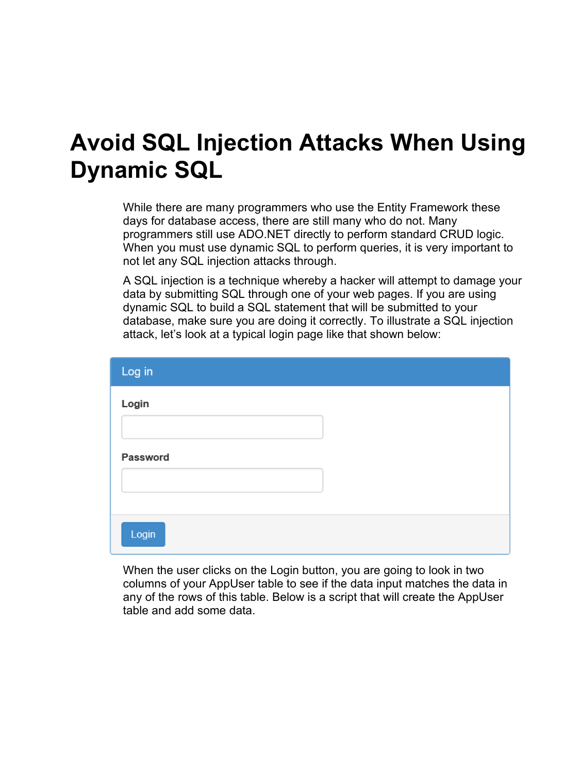### **Avoid SQL Injection Attacks When Using Dynamic SQL**

While there are many programmers who use the Entity Framework these days for database access, there are still many who do not. Many programmers still use ADO.NET directly to perform standard CRUD logic. When you must use dynamic SQL to perform queries, it is very important to not let any SQL injection attacks through.

A SQL injection is a technique whereby a hacker will attempt to damage your data by submitting SQL through one of your web pages. If you are using dynamic SQL to build a SQL statement that will be submitted to your database, make sure you are doing it correctly. To illustrate a SQL injection attack, let's look at a typical login page like that shown below:

| Log in   |  |
|----------|--|
| Login    |  |
| Password |  |
| Login    |  |

When the user clicks on the Login button, you are going to look in two columns of your AppUser table to see if the data input matches the data in any of the rows of this table. Below is a script that will create the AppUser table and add some data.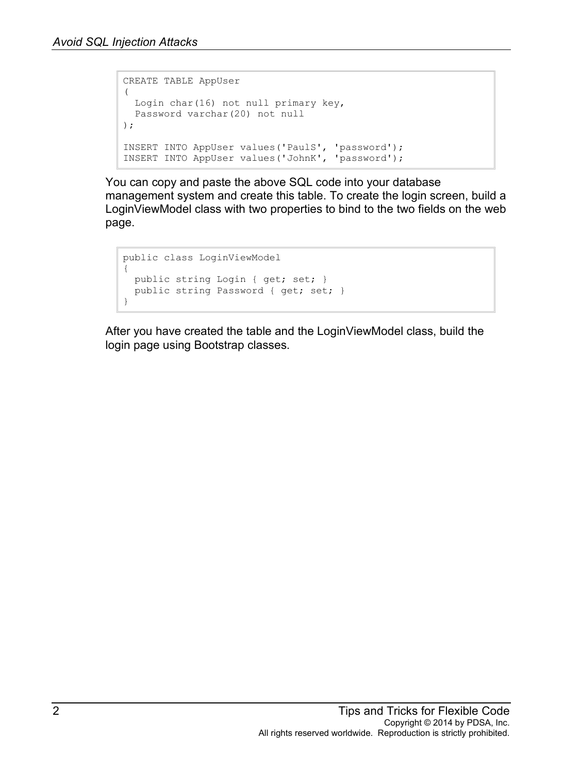```
CREATE TABLE AppUser
(
  Login char(16) not null primary key,
  Password varchar(20) not null
);
INSERT INTO AppUser values('PaulS', 'password');
INSERT INTO AppUser values('JohnK', 'password');
```
You can copy and paste the above SQL code into your database management system and create this table. To create the login screen, build a LoginViewModel class with two properties to bind to the two fields on the web page.

```
public class LoginViewModel
\mathbf{f} public string Login { get; set; }
 public string Password { get; set; }
}
```
After you have created the table and the LoginViewModel class, build the login page using Bootstrap classes.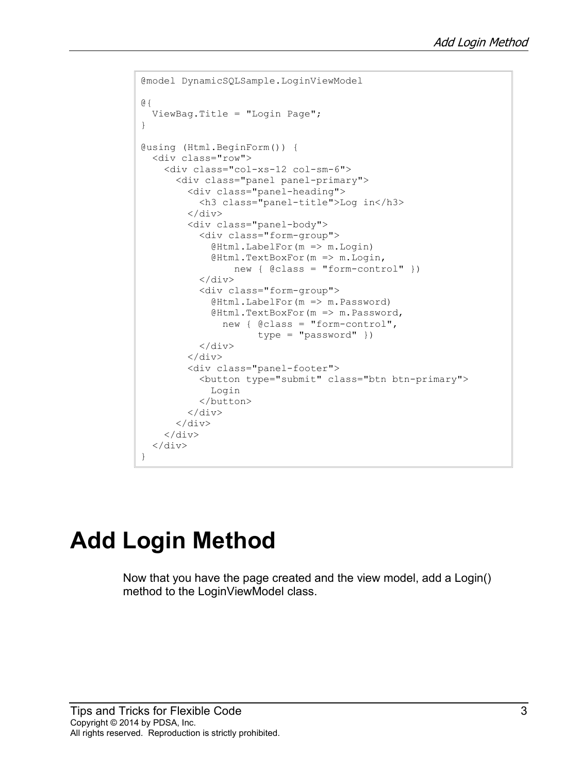```
@model DynamicSQLSample.LoginViewModel
@{
   ViewBag.Title = "Login Page";
}
@using (Html.BeginForm()) {
   <div class="row">
     <div class="col-xs-12 col-sm-6">
       <div class="panel panel-primary">
          <div class="panel-heading">
            <h3 class="panel-title">Log in</h3>
         \langle/div\rangle <div class="panel-body">
            <div class="form-group">
              @Html.LabelFor(m => m.Login)
              @Html.TextBoxFor(m => m.Login,
                   new { @class = "form-control" })
           \langle div>
            <div class="form-group">
              @Html.LabelFor(m => m.Password)
              @Html.TextBoxFor(m => m.Password, 
                new { @class = "form-control", 
                       type = "password" })
            </div>
         \langle div>
          <div class="panel-footer">
            <button type="submit" class="btn btn-primary">
              Login
            </button>
         \langle/div\rangle\langle/div\rangle\langle div>
  \langle div>
}
```
# **Add Login Method**

Now that you have the page created and the view model, add a Login() method to the LoginViewModel class.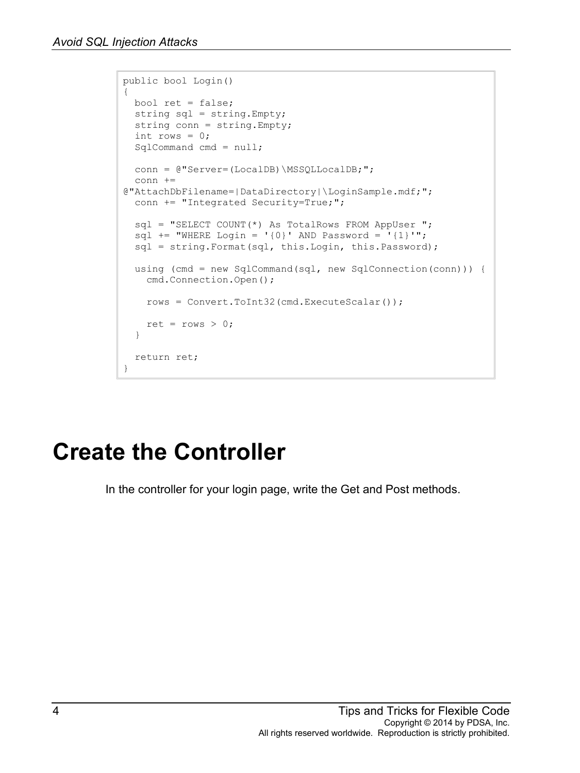```
public bool Login()
{
  bool ret = false;
  string sql = string.Empty;
  string conn = string.Empty;
 int rows = 0; SqlCommand cmd = null;
 conn = @"Server=(LocalDB)\MSSQLLocalDB;";
  conn += 
@"AttachDbFilename=|DataDirectory|\LoginSample.mdf;";
 conn += "Integrated Security=True;";
  sql = "SELECT COUNT(*) As TotalRows FROM AppUser ";
 sql += "WHERE Login = '{0}' AND Password = '{1}'";
  sql = string.Format(sql, this.Login, this.Password);
  using (cmd = new SqlCommand(sql, new SqlConnection(conn))) {
    cmd.Connection.Open();
    rows = Convert.ToInt32(cmd.ExecuteScalar());
   ret = rows > 0;
   }
  return ret;
}
```
# **Create the Controller**

In the controller for your login page, write the Get and Post methods.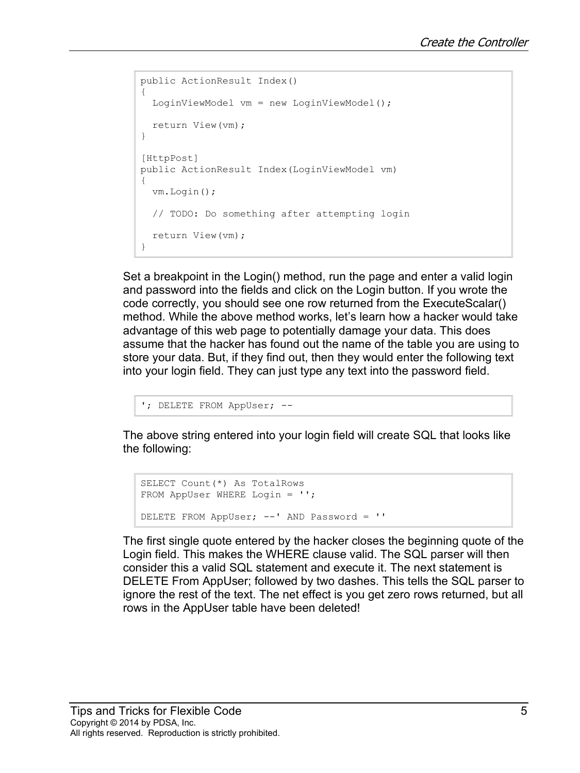```
public ActionResult Index()
{
 LoginViewModel vm = new LoginViewModel();
  return View(vm);
}
[HttpPost]
public ActionResult Index(LoginViewModel vm)
{
  vm.Login();
  // TODO: Do something after attempting login
  return View(vm);
}
```
Set a breakpoint in the Login() method, run the page and enter a valid login and password into the fields and click on the Login button. If you wrote the code correctly, you should see one row returned from the ExecuteScalar() method. While the above method works, let's learn how a hacker would take advantage of this web page to potentially damage your data. This does assume that the hacker has found out the name of the table you are using to store your data. But, if they find out, then they would enter the following text into your login field. They can just type any text into the password field.

```
'; DELETE FROM AppUser; --
```
The above string entered into your login field will create SQL that looks like the following:

```
SELECT Count(*) As TotalRows
FROM AppUser WHERE Login = '';
DELETE FROM AppUser; --' AND Password = ''
```
The first single quote entered by the hacker closes the beginning quote of the Login field. This makes the WHERE clause valid. The SQL parser will then consider this a valid SQL statement and execute it. The next statement is DELETE From AppUser; followed by two dashes. This tells the SQL parser to ignore the rest of the text. The net effect is you get zero rows returned, but all rows in the AppUser table have been deleted!